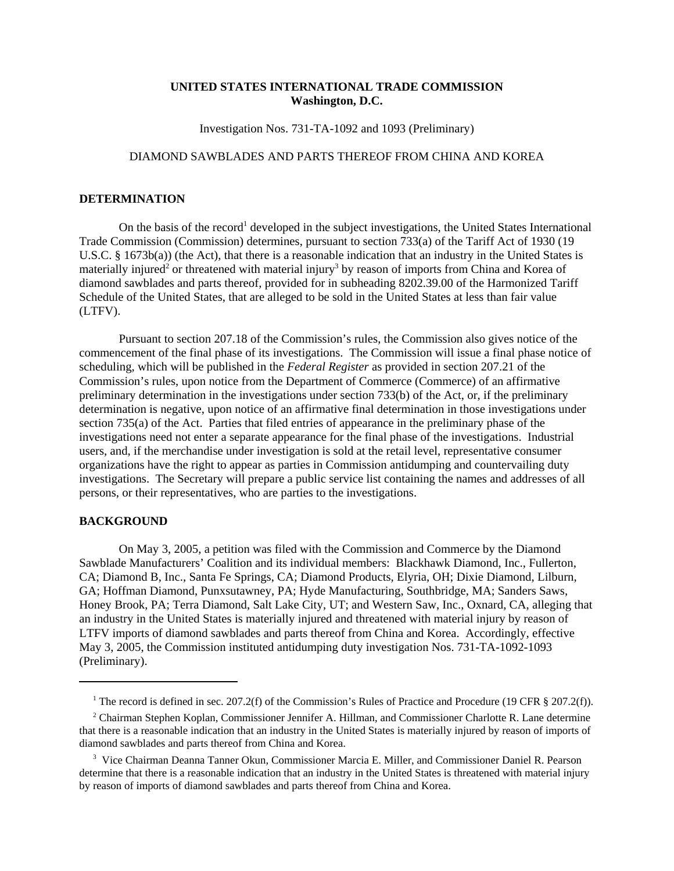## **UNITED STATES INTERNATIONAL TRADE COMMISSION Washington, D.C.**

Investigation Nos. 731-TA-1092 and 1093 (Preliminary)

## DIAMOND SAWBLADES AND PARTS THEREOF FROM CHINA AND KOREA

## **DETERMINATION**

On the basis of the record<sup>1</sup> developed in the subject investigations, the United States International Trade Commission (Commission) determines, pursuant to section 733(a) of the Tariff Act of 1930 (19 U.S.C. § 1673b(a)) (the Act), that there is a reasonable indication that an industry in the United States is materially injured<sup>2</sup> or threatened with material injury<sup>3</sup> by reason of imports from China and Korea of diamond sawblades and parts thereof, provided for in subheading 8202.39.00 of the Harmonized Tariff Schedule of the United States, that are alleged to be sold in the United States at less than fair value (LTFV).

Pursuant to section 207.18 of the Commission's rules, the Commission also gives notice of the commencement of the final phase of its investigations. The Commission will issue a final phase notice of scheduling, which will be published in the *Federal Register* as provided in section 207.21 of the Commission's rules, upon notice from the Department of Commerce (Commerce) of an affirmative preliminary determination in the investigations under section 733(b) of the Act, or, if the preliminary determination is negative, upon notice of an affirmative final determination in those investigations under section 735(a) of the Act. Parties that filed entries of appearance in the preliminary phase of the investigations need not enter a separate appearance for the final phase of the investigations. Industrial users, and, if the merchandise under investigation is sold at the retail level, representative consumer organizations have the right to appear as parties in Commission antidumping and countervailing duty investigations. The Secretary will prepare a public service list containing the names and addresses of all persons, or their representatives, who are parties to the investigations.

## **BACKGROUND**

On May 3, 2005, a petition was filed with the Commission and Commerce by the Diamond Sawblade Manufacturers' Coalition and its individual members: Blackhawk Diamond, Inc., Fullerton, CA; Diamond B, Inc., Santa Fe Springs, CA; Diamond Products, Elyria, OH; Dixie Diamond, Lilburn, GA; Hoffman Diamond, Punxsutawney, PA; Hyde Manufacturing, Southbridge, MA; Sanders Saws, Honey Brook, PA; Terra Diamond, Salt Lake City, UT; and Western Saw, Inc., Oxnard, CA, alleging that an industry in the United States is materially injured and threatened with material injury by reason of LTFV imports of diamond sawblades and parts thereof from China and Korea. Accordingly, effective May 3, 2005, the Commission instituted antidumping duty investigation Nos. 731-TA-1092-1093 (Preliminary).

<sup>&</sup>lt;sup>1</sup> The record is defined in sec. 207.2(f) of the Commission's Rules of Practice and Procedure (19 CFR § 207.2(f)).

<sup>&</sup>lt;sup>2</sup> Chairman Stephen Koplan, Commissioner Jennifer A. Hillman, and Commissioner Charlotte R. Lane determine that there is a reasonable indication that an industry in the United States is materially injured by reason of imports of diamond sawblades and parts thereof from China and Korea.

<sup>&</sup>lt;sup>3</sup> Vice Chairman Deanna Tanner Okun, Commissioner Marcia E. Miller, and Commissioner Daniel R. Pearson determine that there is a reasonable indication that an industry in the United States is threatened with material injury by reason of imports of diamond sawblades and parts thereof from China and Korea.